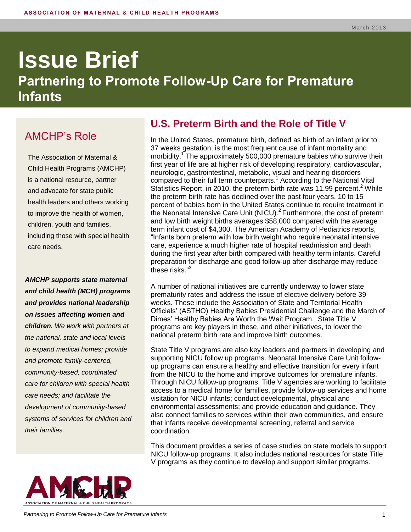# **Issue Brief Partnering to Promote Follow-Up Care for Premature Infants**

# AMCHP's Role

The Association of Maternal & Child Health Programs (AMCHP) is a national resource, partner and advocate for state public health leaders and others working to improve the health of women, children, youth and families, including those with special health care needs.

*AMCHP supports state maternal and child health (MCH) programs and provides national leadership on issues affecting women and children. We work with partners at the national, state and local levels to expand medical homes; provide and promote family-centered, community-based, coordinated care for children with special health care needs; and facilitate the development of community-based systems of services for children and their families.*



## **U.S. Preterm Birth and the Role of Title V**

In the United States, premature birth, defined as birth of an infant prior to 37 weeks gestation, is the most frequent cause of infant mortality and morbidity.<sup>1</sup> The approximately 500,000 premature babies who survive their first year of life are at higher risk of developing respiratory, cardiovascular, neurologic, gastrointestinal, metabolic, visual and hearing disorders compared to their full term counterparts.<sup>1</sup> According to the National Vital Statistics Report, in 2010, the preterm birth rate was 11.99 percent.<sup>2</sup> While the preterm birth rate has declined over the past four years, 10 to 15 percent of babies born in the United States continue to require treatment in the Neonatal Intensive Care Unit (NICU). $^2$  Furthermore, the cost of preterm and low birth weight births averages \$58,000 compared with the average term infant cost of \$4,300. The American Academy of Pediatrics reports, "Infants born preterm with low birth weight who require neonatal intensive care, experience a much higher rate of hospital readmission and death during the first year after birth compared with healthy term infants. Careful preparation for discharge and good follow‐up after discharge may reduce these risks." 3

A number of national initiatives are currently underway to lower state prematurity rates and address the issue of elective delivery before 39 weeks. These include the Association of State and Territorial Health Officials' (ASTHO) Healthy Babies Presidential Challenge and the March of Dimes' Healthy Babies Are Worth the Wait Program. State Title V programs are key players in these, and other initiatives, to lower the national preterm birth rate and improve birth outcomes.

State Title V programs are also key leaders and partners in developing and supporting NICU follow up programs. Neonatal Intensive Care Unit followup programs can ensure a healthy and effective transition for every infant from the NICU to the home and improve outcomes for premature infants. Through NICU follow-up programs, Title V agencies are working to facilitate access to a medical home for families, provide follow-up services and home visitation for NICU infants; conduct developmental, physical and environmental assessments; and provide education and guidance. They also connect families to services within their own communities, and ensure that infants receive developmental screening, referral and service coordination.

This document provides a series of case studies on state models to support NICU follow-up programs. It also includes national resources for state Title V programs as they continue to develop and support similar programs.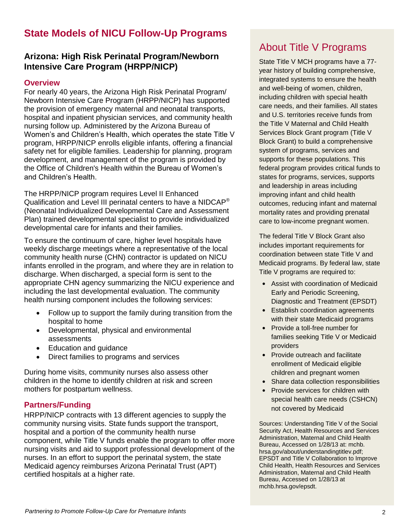# **State Models of NICU Follow-Up Programs**

#### **Arizona: High Risk Perinatal Program/Newborn Intensive Care Program (HRPP/NICP)**

#### **Overview**

For nearly 40 years, the Arizona High Risk Perinatal Program/ Newborn Intensive Care Program (HRPP/NICP) has supported the provision of emergency maternal and neonatal transports, hospital and inpatient physician services, and community health nursing follow up. Administered by the Arizona Bureau of Women's and Children's Health, which operates the state Title V program, HRPP/NICP enrolls eligible infants, offering a financial safety net for eligible families. Leadership for planning, program development, and management of the program is provided by the Office of Children's Health within the Bureau of Women's and Children's Health.

The HRPP/NICP program requires Level II Enhanced Qualification and Level III perinatal centers to have a NIDCAP® (Neonatal Individualized Developmental Care and Assessment Plan) trained developmental specialist to provide individualized developmental care for infants and their families.

To ensure the continuum of care, higher level hospitals have weekly discharge meetings where a representative of the local community health nurse (CHN) contractor is updated on NICU infants enrolled in the program, and where they are in relation to discharge. When discharged, a special form is sent to the appropriate CHN agency summarizing the NICU experience and including the last developmental evaluation. The community health nursing component includes the following services:

- Follow up to support the family during transition from the hospital to home
- Developmental, physical and environmental assessments
- Education and guidance
- Direct families to programs and services

During home visits, community nurses also assess other children in the home to identify children at risk and screen mothers for postpartum wellness.

#### **Partners/Funding**

HRPP/NICP contracts with 13 different agencies to supply the community nursing visits. State funds support the transport, hospital and a portion of the community health nurse component, while Title V funds enable the program to offer more nursing visits and aid to support professional development of the nurses. In an effort to support the perinatal system, the state Medicaid agency reimburses Arizona Perinatal Trust (APT) certified hospitals at a higher rate.

# About Title V Programs

State Title V MCH programs have a 77 year history of building comprehensive, integrated systems to ensure the health and well-being of women, children, including children with special health care needs, and their families. All states and U.S. territories receive funds from the Title V Maternal and Child Health Services Block Grant program (Title V Block Grant) to build a comprehensive system of programs, services and supports for these populations. This federal program provides critical funds to states for programs, services, supports and leadership in areas including improving infant and child health outcomes, reducing infant and maternal mortality rates and providing prenatal care to low-income pregnant women.

The federal Title V Block Grant also includes important requirements for coordination between state Title V and Medicaid programs. By federal law, state Title V programs are required to:

- **•** Assist with coordination of Medicaid Early and Periodic Screening, Diagnostic and Treatment (EPSDT)
- **•** Establish coordination agreements with their state Medicaid programs
- **•** Provide a toll-free number for families seeking Title V or Medicaid providers
- **•** Provide outreach and facilitate enrollment of Medicaid eligible children and pregnant women
- **•** Share data collection responsibilities
- **•** Provide services for children with special health care needs (CSHCN) not covered by Medicaid

Sources: Understanding Title V of the Social Security Act, Health Resources and Services Administration, Maternal and Child Health Bureau, Accessed on 1/28/13 at: mchb. hrsa.gov/about/understandingtitlev.pdf; EPSDT and Title V Collaboration to Improve Child Health, Health Resources and Services Administration, Maternal and Child Health Bureau, Accessed on 1/28/13 at mchb.hrsa.gov/epsdt.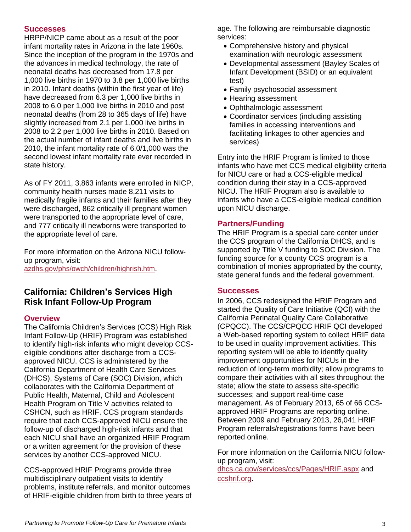#### **Successes**

HRPP/NICP came about as a result of the poor infant mortality rates in Arizona in the late 1960s. Since the inception of the program in the 1970s and the advances in medical technology, the rate of neonatal deaths has decreased from 17.8 per 1,000 live births in 1970 to 3.8 per 1,000 live births in 2010. Infant deaths (within the first year of life) have decreased from 6.3 per 1,000 live births in 2008 to 6.0 per 1,000 live births in 2010 and post neonatal deaths (from 28 to 365 days of life) have slightly increased from 2.1 per 1,000 live births in 2008 to 2.2 per 1,000 live births in 2010. Based on the actual number of infant deaths and live births in 2010, the infant mortality rate of 6.0/1,000 was the second lowest infant mortality rate ever recorded in state history.

As of FY 2011, 3,863 infants were enrolled in NICP, community health nurses made 8,211 visits to medically fragile infants and their families after they were discharged, 862 critically ill pregnant women were transported to the appropriate level of care, and 777 critically ill newborns were transported to the appropriate level of care.

For more information on the Arizona NICU followup program, visit: [azdhs.gov/phs/owch/children/highrish.htm.](http://www.azdhs.gov/phs/owch/children/highrish.htm)

#### **California: Children's Services High Risk Infant Follow-Up Program**

#### **Overview**

The California Children's Services (CCS) High Risk Infant Follow-Up (HRIF) Program was established to identify high-risk infants who might develop CCSeligible conditions after discharge from a CCSapproved NICU. CCS is administered by the California Department of Health Care Services (DHCS), Systems of Care (SOC) Division, which collaborates with the California Department of Public Health, Maternal, Child and Adolescent Health Program on Title V activities related to CSHCN, such as HRIF. CCS program standards require that each CCS-approved NICU ensure the follow-up of discharged high-risk infants and that each NICU shall have an organized HRIF Program or a written agreement for the provision of these services by another CCS-approved NICU.

CCS-approved HRIF Programs provide three multidisciplinary outpatient visits to identify problems, institute referrals, and monitor outcomes of HRIF-eligible children from birth to three years of age. The following are reimbursable diagnostic services:

- Comprehensive history and physical examination with neurologic assessment
- Developmental assessment (Bayley Scales of Infant Development (BSID) or an equivalent test)
- Family psychosocial assessment
- Hearing assessment
- Ophthalmologic assessment
- Coordinator services (including assisting families in accessing interventions and facilitating linkages to other agencies and services)

Entry into the HRIF Program is limited to those infants who have met CCS medical eligibility criteria for NICU care or had a CCS-eligible medical condition during their stay in a CCS-approved NICU. The HRIF Program also is available to infants who have a CCS-eligible medical condition upon NICU discharge.

#### **Partners/Funding**

The HRIF Program is a special care center under the CCS program of the California DHCS, and is supported by Title V funding to SOC Division. The funding source for a county CCS program is a combination of monies appropriated by the county, state general funds and the federal government.

#### **Successes**

In 2006, CCS redesigned the HRIF Program and started the Quality of Care Initiative (QCI) with the California Perinatal Quality Care Collaborative (CPQCC). The CCS/CPQCC HRIF QCI developed a Web-based reporting system to collect HRIF data to be used in quality improvement activities. This reporting system will be able to identify quality improvement opportunities for NICUs in the reduction of long-term morbidity; allow programs to compare their activities with all sites throughout the state; allow the state to assess site-specific successes; and support real-time case management. As of February 2013, 65 of 66 CCSapproved HRIF Programs are reporting online. Between 2009 and February 2013, 26,041 HRIF Program referrals/registrations forms have been reported online.

For more information on the California NICU followup program, visit:

[dhcs.ca.gov/services/ccs/Pages/HRIF.aspx](http://www.dhcs.ca.gov/services/ccs/Pages/HRIF.aspx) and [ccshrif.org](https://www.ccshrif.org/).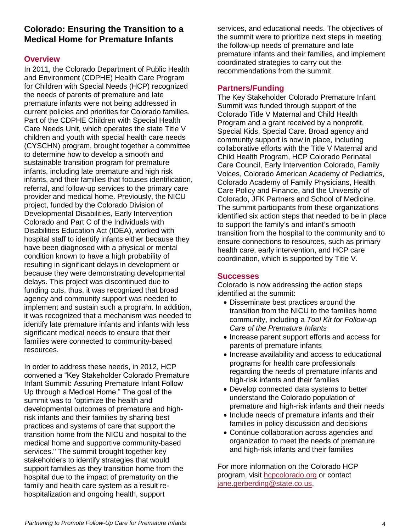### **Colorado: Ensuring the Transition to a Medical Home for Premature Infants**

#### **Overview**

In 2011, the Colorado Department of Public Health and Environment (CDPHE) Health Care Program for Children with Special Needs (HCP) recognized the needs of parents of premature and late premature infants were not being addressed in current policies and priorities for Colorado families. Part of the CDPHE Children with Special Health Care Needs Unit, which operates the state Title V children and youth with special health care needs (CYSCHN) program, brought together a committee to determine how to develop a smooth and sustainable transition program for premature infants, including late premature and high risk infants, and their families that focuses identification, referral, and follow-up services to the primary care provider and medical home. Previously, the NICU project, funded by the Colorado Division of Developmental Disabilities, Early Intervention Colorado and Part C of the Individuals with Disabilities Education Act (IDEA), worked with hospital staff to identify infants either because they have been diagnosed with a physical or mental condition known to have a high probability of resulting in significant delays in development or because they were demonstrating developmental delays. This project was discontinued due to funding cuts, thus, it was recognized that broad agency and community support was needed to implement and sustain such a program. In addition, it was recognized that a mechanism was needed to identify late premature infants and infants with less significant medical needs to ensure that their families were connected to community-based resources.

In order to address these needs, in 2012, HCP convened a "Key Stakeholder Colorado Premature Infant Summit: Assuring Premature Infant Follow Up through a Medical Home." The goal of the summit was to "optimize the health and developmental outcomes of premature and highrisk infants and their families by sharing best practices and systems of care that support the transition home from the NICU and hospital to the medical home and supportive community-based services." The summit brought together key stakeholders to identify strategies that would support families as they transition home from the hospital due to the impact of prematurity on the family and health care system as a result rehospitalization and ongoing health, support

services, and educational needs. The objectives of the summit were to prioritize next steps in meeting the follow-up needs of premature and late premature infants and their families, and implement coordinated strategies to carry out the recommendations from the summit.

#### **Partners/Funding**

The Key Stakeholder Colorado Premature Infant Summit was funded through support of the Colorado Title V Maternal and Child Health Program and a grant received by a nonprofit, Special Kids, Special Care. Broad agency and community support is now in place, including collaborative efforts with the Title V Maternal and Child Health Program, HCP Colorado Perinatal Care Council, Early Intervention Colorado, Family Voices, Colorado American Academy of Pediatrics, Colorado Academy of Family Physicians, Health Care Policy and Finance, and the University of Colorado, JFK Partners and School of Medicine. The summit participants from these organizations identified six action steps that needed to be in place to support the family's and infant's smooth transition from the hospital to the community and to ensure connections to resources, such as primary health care, early intervention, and HCP care coordination, which is supported by Title V.

#### **Successes**

Colorado is now addressing the action steps identified at the summit:

- Disseminate best practices around the transition from the NICU to the families home community, including a *Tool Kit for Follow‐up Care of the Premature Infants*
- Increase parent support efforts and access for parents of premature infants
- Increase availability and access to educational programs for health care professionals regarding the needs of premature infants and high-risk infants and their families
- Develop connected data systems to better understand the Colorado population of premature and high-risk infants and their needs
- Include needs of premature infants and their families in policy discussion and decisions
- Continue collaboration across agencies and organization to meet the needs of premature and high-risk infants and their families

For more information on the Colorado HCP program, visit [hcpcolorado.org](http://hcpcolorado.org/) or contact [jane.gerberding@state.co.us.](mailto:jane.gerberding@state.co.us)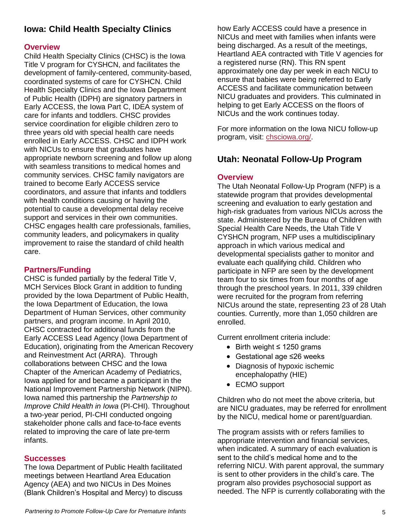### **Iowa: Child Health Specialty Clinics**

#### **Overview**

Child Health Specialty Clinics (CHSC) is the Iowa Title V program for CYSHCN, and facilitates the development of family-centered, community-based, coordinated systems of care for CYSHCN. Child Health Specialty Clinics and the Iowa Department of Public Health (IDPH) are signatory partners in Early ACCESS, the Iowa Part C, IDEA system of care for infants and toddlers. CHSC provides service coordination for eligible children zero to three years old with special health care needs enrolled in Early ACCESS. CHSC and IDPH work with NICUs to ensure that graduates have appropriate newborn screening and follow up along with seamless transitions to medical homes and community services. CHSC family navigators are trained to become Early ACCESS service coordinators, and assure that infants and toddlers with health conditions causing or having the potential to cause a developmental delay receive support and services in their own communities. CHSC engages health care professionals, families, community leaders, and policymakers in quality improvement to raise the standard of child health care.

#### **Partners/Funding**

CHSC is funded partially by the federal Title V, MCH Services Block Grant in addition to funding provided by the Iowa Department of Public Health, the Iowa Department of Education, the Iowa Department of Human Services, other community partners, and program income. In April 2010, CHSC contracted for additional funds from the Early ACCESS Lead Agency (Iowa Department of Education), originating from the American Recovery and Reinvestment Act (ARRA). Through collaborations between CHSC and the Iowa Chapter of the American Academy of Pediatrics, Iowa applied for and became a participant in the National Improvement Partnership Network (NIPN). Iowa named this partnership the *Partnership to Improve Child Health in Iowa* (PI-CHI). Throughout a two-year period, PI-CHI conducted ongoing stakeholder phone calls and face-to-face events related to improving the care of late pre-term infants.

#### **Successes**

The Iowa Department of Public Health facilitated meetings between Heartland Area Education Agency (AEA) and two NICUs in Des Moines (Blank Children's Hospital and Mercy) to discuss how Early ACCESS could have a presence in NICUs and meet with families when infants were being discharged. As a result of the meetings, Heartland AEA contracted with Title V agencies for a registered nurse (RN). This RN spent approximately one day per week in each NICU to ensure that babies were being referred to Early ACCESS and facilitate communication between NICU graduates and providers. This culminated in helping to get Early ACCESS on the floors of NICUs and the work continues today.

For more information on the Iowa NICU follow-up program, visit: [chsciowa.org/.](http://www.chsciowa.org/)

### **Utah: Neonatal Follow-Up Program**

#### **Overview**

The Utah Neonatal Follow-Up Program (NFP) is a statewide program that provides developmental screening and evaluation to early gestation and high-risk graduates from various NICUs across the state. Administered by the Bureau of Children with Special Health Care Needs, the Utah Title V CYSHCN program, NFP uses a multidisciplinary approach in which various medical and developmental specialists gather to monitor and evaluate each qualifying child. Children who participate in NFP are seen by the development team four to six times from four months of age through the preschool years. In 2011, 339 children were recruited for the program from referring NICUs around the state, representing 23 of 28 Utah counties. Currently, more than 1,050 children are enrolled.

Current enrollment criteria include:

- Birth weight ≤ 1250 grams
- Gestational age ≤26 weeks
- Diagnosis of hypoxic ischemic encephalopathy (HIE)
- ECMO support

Children who do not meet the above criteria, but are NICU graduates, may be referred for enrollment by the NICU, medical home or parent/guardian.

The program assists with or refers families to appropriate intervention and financial services, when indicated. A summary of each evaluation is sent to the child's medical home and to the referring NICU. With parent approval, the summary is sent to other providers in the child's care. The program also provides psychosocial support as needed. The NFP is currently collaborating with the